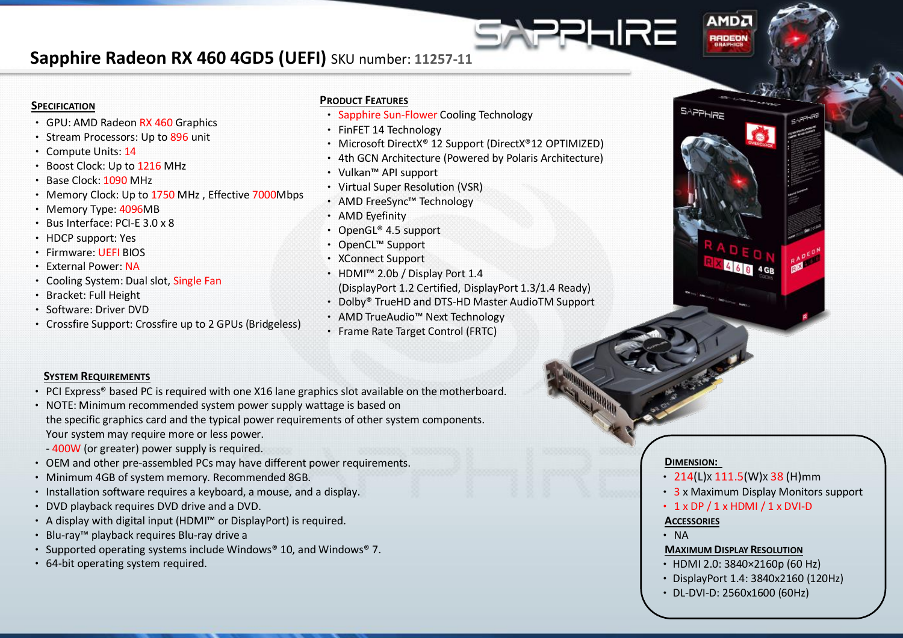# **Sapphire Radeon RX 460 4GD5 (UEFI)** SKU number: **11257-11**

#### **SPECIFICATION**

- GPU: AMD Radeon RX 460 Graphics
- Stream Processors: Up to 896 unit
- Compute Units: 14
- Boost Clock: Up to 1216 MHz
- Base Clock: 1090 MHz
- Memory Clock: Up to 1750 MHz , Effective 7000Mbps
- Memory Type: 4096MB
- Bus Interface: PCI-E 3.0 x 8
- HDCP support: Yes
- Firmware: UEFI BIOS
- External Power: NA
- Cooling System: Dual slot, Single Fan
- Bracket: Full Height
- Software: Driver DVD
- Crossfire Support: Crossfire up to 2 GPUs (Bridgeless)

#### **PRODUCT FEATURES**

- Sapphire Sun-Flower Cooling Technology
- FinFET 14 Technology
- Microsoft DirectX® 12 Support (DirectX®12 OPTIMIZED)
- 4th GCN Architecture (Powered by Polaris Architecture)
- Vulkan™ API support
- Virtual Super Resolution (VSR)
- AMD FreeSync™ Technology
- AMD Eyefinity
- OpenGL® 4.5 support
- OpenCL™ Support
- XConnect Support
- HDMI™ 2.0b / Display Port 1.4 (DisplayPort 1.2 Certified, DisplayPort 1.3/1.4 Ready)
- Dolby® TrueHD and DTS-HD Master AudioTM Support
- AMD TrueAudio™ Next Technology
- Frame Rate Target Control (FRTC)

#### **SYSTEM REQUIREMENTS**

- PCI Express® based PC is required with one X16 lane graphics slot available on the motherboard.
- NOTE: Minimum recommended system power supply wattage is based on the specific graphics card and the typical power requirements of other system components. Your system may require more or less power.
	- 400W (or greater) power supply is required.
- OEM and other pre-assembled PCs may have different power requirements.
- Minimum 4GB of system memory. Recommended 8GB.
- Installation software requires a keyboard, a mouse, and a display.
- DVD playback requires DVD drive and a DVD.
- A display with digital input (HDMI™ or DisplayPort) is required.
- Blu-ray™ playback requires Blu-ray drive a
- Supported operating systems include Windows® 10, and Windows® 7.
- 64-bit operating system required.

#### **DIMENSION:**

 $\cdot$  214(L)x 111.5(W)x 38 (H)mm

**AMDA** 

RADEON

EIRE

- 3 x Maximum Display Monitors support
- $\cdot$  1 x DP / 1 x HDMI / 1 x DVI-D

#### **ACCESSORIES**

• NA

#### **MAXIMUM DISPLAY RESOLUTION**

- •HDMI 2.0: 3840×2160p (60 Hz)
- •DisplayPort 1.4: 3840x2160 (120Hz)
- •DL-DVI-D: 2560x1600 (60Hz)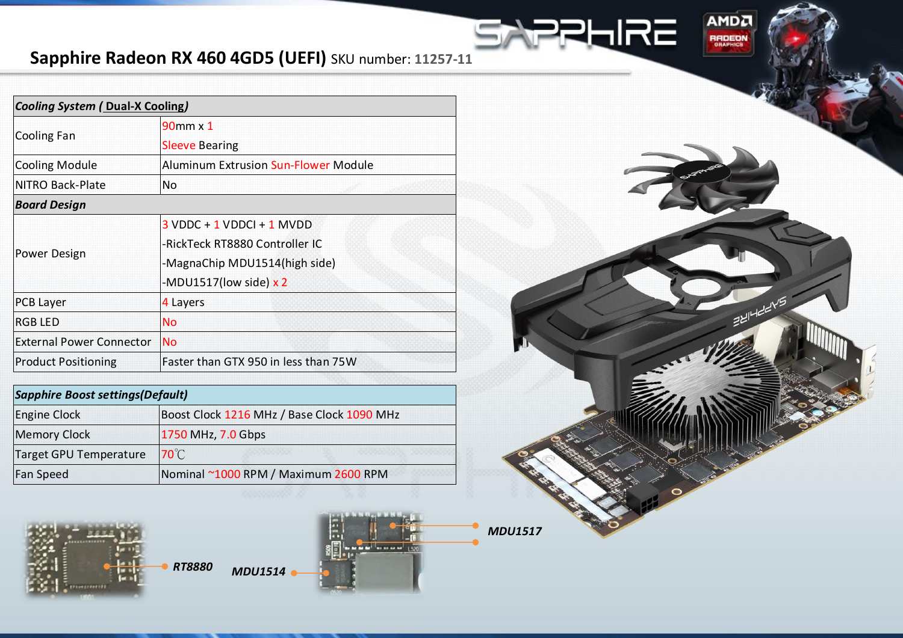# **Sapphire Radeon RX 460 4GD5 (UEFI)** SKU number: **11257-11**

| <b>Cooling System ( Dual-X Cooling)</b> |                                             |
|-----------------------------------------|---------------------------------------------|
| Cooling Fan                             | $90$ mm $\times$ 1                          |
|                                         | <b>Sleeve Bearing</b>                       |
| <b>Cooling Module</b>                   | <b>Aluminum Extrusion Sun-Flower Module</b> |
| INITRO Back-Plate                       | No.                                         |
| <b>Board Design</b>                     |                                             |
| Power Design                            | $3$ VDDC + 1 VDDCI + 1 MVDD                 |
|                                         | -RickTeck RT8880 Controller IC              |
|                                         | -MagnaChip MDU1514(high side)               |
|                                         | -MDU1517(low side) $x$ 2                    |
| <b>PCB Layer</b>                        | 4 Layers                                    |
| <b>RGB LED</b>                          | <b>No</b>                                   |
| <b>External Power Connector</b>         | <b>No</b>                                   |
| <b>Product Positioning</b>              | Faster than GTX 950 in less than 75W        |

| <b>Sapphire Boost settings (Default)</b> |                                            |
|------------------------------------------|--------------------------------------------|
| Engine Clock                             | Boost Clock 1216 MHz / Base Clock 1090 MHz |
| <b>Memory Clock</b>                      | 1750 MHz, 7.0 Gbps                         |
| Target GPU Temperature                   | $70^{\circ}$ C                             |
| Fan Speed                                | Nominal ~1000 RPM / Maximum 2600 RPM       |



*RT8880 MDU1514*